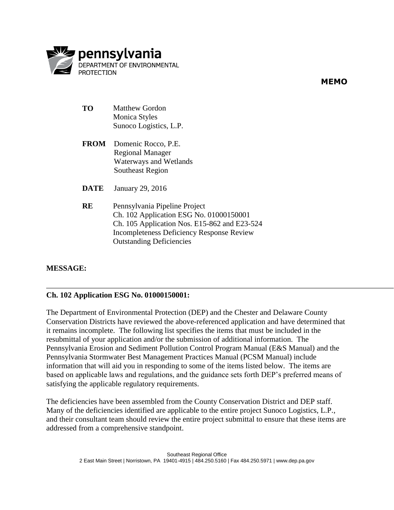

**MEMO**

- **TO** Matthew Gordon Monica Styles Sunoco Logistics, L.P.
- **FROM** Domenic Rocco, P.E. Regional Manager Waterways and Wetlands Southeast Region
- **DATE** January 29, 2016
- **RE** Pennsylvania Pipeline Project Ch. 102 Application ESG No. 01000150001 Ch. 105 Application Nos. E15-862 and E23-524 Incompleteness Deficiency Response Review Outstanding Deficiencies

# **MESSAGE:**

## **Ch. 102 Application ESG No. 01000150001:**

The Department of Environmental Protection (DEP) and the Chester and Delaware County Conservation Districts have reviewed the above-referenced application and have determined that it remains incomplete. The following list specifies the items that must be included in the resubmittal of your application and/or the submission of additional information. The Pennsylvania Erosion and Sediment Pollution Control Program Manual (E&S Manual) and the Pennsylvania Stormwater Best Management Practices Manual (PCSM Manual) include information that will aid you in responding to some of the items listed below. The items are based on applicable laws and regulations, and the guidance sets forth DEP's preferred means of satisfying the applicable regulatory requirements.

The deficiencies have been assembled from the County Conservation District and DEP staff. Many of the deficiencies identified are applicable to the entire project Sunoco Logistics, L.P., and their consultant team should review the entire project submittal to ensure that these items are addressed from a comprehensive standpoint.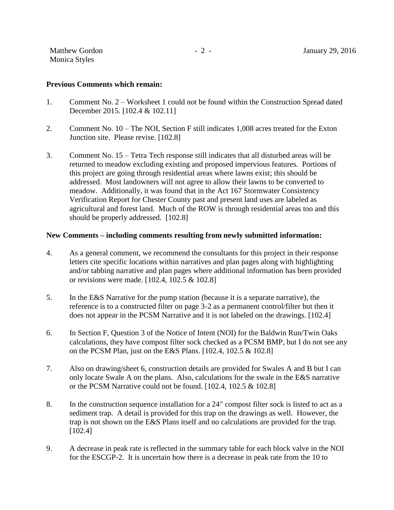#### **Previous Comments which remain:**

- 1. Comment No. 2 Worksheet 1 could not be found within the Construction Spread dated December 2015. [102.4 & 102.11]
- 2. Comment No. 10 The NOI, Section F still indicates 1,008 acres treated for the Exton Junction site. Please revise. [102.8]
- 3. Comment No. 15 Tetra Tech response still indicates that all disturbed areas will be returned to meadow excluding existing and proposed impervious features. Portions of this project are going through residential areas where lawns exist; this should be addressed. Most landowners will not agree to allow their lawns to be converted to meadow. Additionally, it was found that in the Act 167 Stormwater Consistency Verification Report for Chester County past and present land uses are labeled as agricultural and forest land. Much of the ROW is through residential areas too and this should be properly addressed. [102.8]

#### **New Comments – including comments resulting from newly submitted information:**

- 4. As a general comment, we recommend the consultants for this project in their response letters cite specific locations within narratives and plan pages along with highlighting and/or tabbing narrative and plan pages where additional information has been provided or revisions were made. [102.4, 102.5 & 102.8]
- 5. In the E&S Narrative for the pump station (because it is a separate narrative), the reference is to a constructed filter on page 3-2 as a permanent control/filter but then it does not appear in the PCSM Narrative and it is not labeled on the drawings. [102.4]
- 6. In Section F, Question 3 of the Notice of Intent (NOI) for the Baldwin Run/Twin Oaks calculations, they have compost filter sock checked as a PCSM BMP, but I do not see any on the PCSM Plan, just on the E&S Plans. [102.4, 102.5 & 102.8]
- 7. Also on drawing/sheet 6, construction details are provided for Swales A and B but I can only locate Swale A on the plans. Also, calculations for the swale in the E&S narrative or the PCSM Narrative could not be found. [102.4, 102.5 & 102.8]
- 8. In the construction sequence installation for a 24" compost filter sock is listed to act as a sediment trap. A detail is provided for this trap on the drawings as well. However, the trap is not shown on the E&S Plans itself and no calculations are provided for the trap. [102.4]
- 9. A decrease in peak rate is reflected in the summary table for each block valve in the NOI for the ESCGP-2. It is uncertain how there is a decrease in peak rate from the 10 to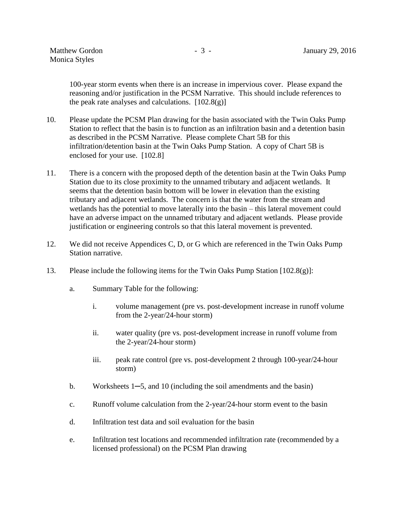100-year storm events when there is an increase in impervious cover. Please expand the reasoning and/or justification in the PCSM Narrative. This should include references to the peak rate analyses and calculations.  $[102.8(g)]$ 

- 10. Please update the PCSM Plan drawing for the basin associated with the Twin Oaks Pump Station to reflect that the basin is to function as an infiltration basin and a detention basin as described in the PCSM Narrative. Please complete Chart 5B for this infiltration/detention basin at the Twin Oaks Pump Station. A copy of Chart 5B is enclosed for your use. [102.8]
- 11. There is a concern with the proposed depth of the detention basin at the Twin Oaks Pump Station due to its close proximity to the unnamed tributary and adjacent wetlands. It seems that the detention basin bottom will be lower in elevation than the existing tributary and adjacent wetlands. The concern is that the water from the stream and wetlands has the potential to move laterally into the basin – this lateral movement could have an adverse impact on the unnamed tributary and adjacent wetlands. Please provide justification or engineering controls so that this lateral movement is prevented.
- 12. We did not receive Appendices C, D, or G which are referenced in the Twin Oaks Pump Station narrative.
- 13. Please include the following items for the Twin Oaks Pump Station [102.8(g)]:
	- a. Summary Table for the following:
		- i. volume management (pre vs. post-development increase in runoff volume from the 2-year/24-hour storm)
		- ii. water quality (pre vs. post-development increase in runoff volume from the 2-year/24-hour storm)
		- iii. peak rate control (pre vs. post-development 2 through 100-year/24-hour storm)
	- b. Worksheets 1─5, and 10 (including the soil amendments and the basin)
	- c. Runoff volume calculation from the 2-year/24-hour storm event to the basin
	- d. Infiltration test data and soil evaluation for the basin
	- e. Infiltration test locations and recommended infiltration rate (recommended by a licensed professional) on the PCSM Plan drawing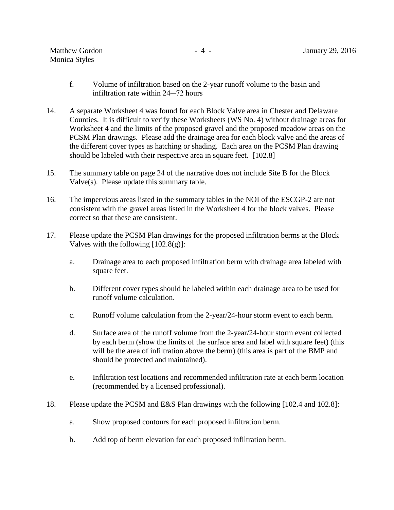| <b>Matthew Gordon</b> |  |
|-----------------------|--|
| <b>Monica Styles</b>  |  |

- f. Volume of infiltration based on the 2-year runoff volume to the basin and infiltration rate within 24─72 hours
- 14. A separate Worksheet 4 was found for each Block Valve area in Chester and Delaware Counties. It is difficult to verify these Worksheets (WS No. 4) without drainage areas for Worksheet 4 and the limits of the proposed gravel and the proposed meadow areas on the PCSM Plan drawings. Please add the drainage area for each block valve and the areas of the different cover types as hatching or shading. Each area on the PCSM Plan drawing should be labeled with their respective area in square feet. [102.8]
- 15. The summary table on page 24 of the narrative does not include Site B for the Block Valve(s). Please update this summary table.
- 16. The impervious areas listed in the summary tables in the NOI of the ESCGP-2 are not consistent with the gravel areas listed in the Worksheet 4 for the block valves. Please correct so that these are consistent.
- 17. Please update the PCSM Plan drawings for the proposed infiltration berms at the Block Valves with the following  $[102.8(g)]$ :
	- a. Drainage area to each proposed infiltration berm with drainage area labeled with square feet.
	- b. Different cover types should be labeled within each drainage area to be used for runoff volume calculation.
	- c. Runoff volume calculation from the 2-year/24-hour storm event to each berm.
	- d. Surface area of the runoff volume from the 2-year/24-hour storm event collected by each berm (show the limits of the surface area and label with square feet) (this will be the area of infiltration above the berm) (this area is part of the BMP and should be protected and maintained).
	- e. Infiltration test locations and recommended infiltration rate at each berm location (recommended by a licensed professional).
- 18. Please update the PCSM and E&S Plan drawings with the following [102.4 and 102.8]:
	- a. Show proposed contours for each proposed infiltration berm.
	- b. Add top of berm elevation for each proposed infiltration berm.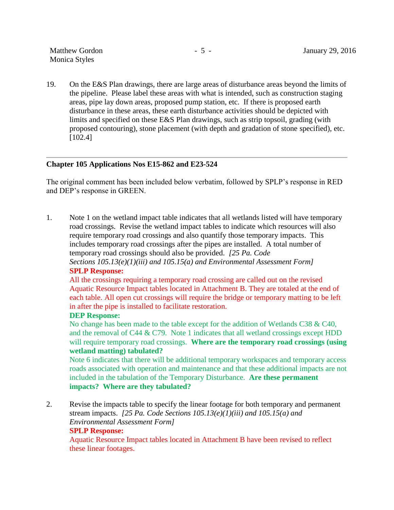19. On the E&S Plan drawings, there are large areas of disturbance areas beyond the limits of the pipeline. Please label these areas with what is intended, such as construction staging areas, pipe lay down areas, proposed pump station, etc. If there is proposed earth disturbance in these areas, these earth disturbance activities should be depicted with limits and specified on these E&S Plan drawings, such as strip topsoil, grading (with proposed contouring), stone placement (with depth and gradation of stone specified), etc. [102.4]

## **Chapter 105 Applications Nos E15-862 and E23-524**

The original comment has been included below verbatim, followed by SPLP's response in RED and DEP's response in GREEN.

1. Note 1 on the wetland impact table indicates that all wetlands listed will have temporary road crossings. Revise the wetland impact tables to indicate which resources will also require temporary road crossings and also quantify those temporary impacts. This includes temporary road crossings after the pipes are installed. A total number of temporary road crossings should also be provided. *[25 Pa. Code Sections 105.13(e)(1)(iii) and 105.15(a) and Environmental Assessment Form]*

# **SPLP Response:**

All the crossings requiring a temporary road crossing are called out on the revised Aquatic Resource Impact tables located in Attachment B. They are totaled at the end of each table. All open cut crossings will require the bridge or temporary matting to be left in after the pipe is installed to facilitate restoration.

## **DEP Response:**

No change has been made to the table except for the addition of Wetlands C38 & C40, and the removal of C44  $&$  C79. Note 1 indicates that all wetland crossings except HDD will require temporary road crossings. **Where are the temporary road crossings (using wetland matting) tabulated?**

Note 6 indicates that there will be additional temporary workspaces and temporary access roads associated with operation and maintenance and that these additional impacts are not included in the tabulation of the Temporary Disturbance. **Are these permanent impacts? Where are they tabulated?**

2. Revise the impacts table to specify the linear footage for both temporary and permanent stream impacts. *[25 Pa. Code Sections 105.13(e)(1)(iii) and 105.15(a) and Environmental Assessment Form]*

## **SPLP Response:**

Aquatic Resource Impact tables located in Attachment B have been revised to reflect these linear footages.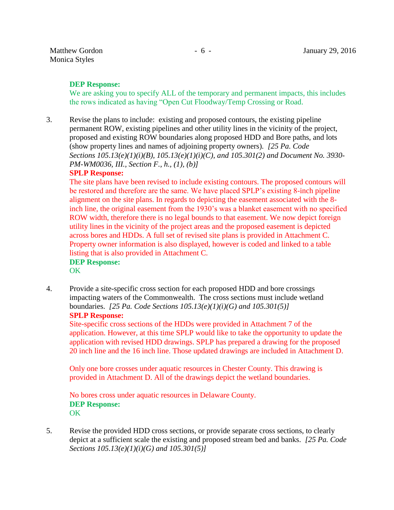# **DEP Response:**

We are asking you to specify ALL of the temporary and permanent impacts, this includes the rows indicated as having "Open Cut Floodway/Temp Crossing or Road.

3. Revise the plans to include: existing and proposed contours, the existing pipeline permanent ROW, existing pipelines and other utility lines in the vicinity of the project, proposed and existing ROW boundaries along proposed HDD and Bore paths, and lots (show property lines and names of adjoining property owners). *[25 Pa. Code Sections 105.13(e)(1)(i)(B), 105.13(e)(1)(i)(C), and 105.301(2) and Document No. 3930- PM-WM0036, III., Section F., h., (1), (b)]*

## **SPLP Response:**

The site plans have been revised to include existing contours. The proposed contours will be restored and therefore are the same. We have placed SPLP's existing 8-inch pipeline alignment on the site plans. In regards to depicting the easement associated with the 8 inch line, the original easement from the 1930's was a blanket easement with no specified ROW width, therefore there is no legal bounds to that easement. We now depict foreign utility lines in the vicinity of the project areas and the proposed easement is depicted across bores and HDDs. A full set of revised site plans is provided in Attachment C. Property owner information is also displayed, however is coded and linked to a table listing that is also provided in Attachment C.

#### **DEP Response:** OK

4. Provide a site-specific cross section for each proposed HDD and bore crossings impacting waters of the Commonwealth. The cross sections must include wetland boundaries. *[25 Pa. Code Sections 105.13(e)(1)(i)(G) and 105.301(5)]* **SPLP Response:**

Site-specific cross sections of the HDDs were provided in Attachment 7 of the application. However, at this time SPLP would like to take the opportunity to update the application with revised HDD drawings. SPLP has prepared a drawing for the proposed 20 inch line and the 16 inch line. Those updated drawings are included in Attachment D.

Only one bore crosses under aquatic resources in Chester County. This drawing is provided in Attachment D. All of the drawings depict the wetland boundaries.

No bores cross under aquatic resources in Delaware County. **DEP Response: OK** 

5. Revise the provided HDD cross sections, or provide separate cross sections, to clearly depict at a sufficient scale the existing and proposed stream bed and banks. *[25 Pa. Code Sections 105.13(e)(1)(i)(G) and 105.301(5)]*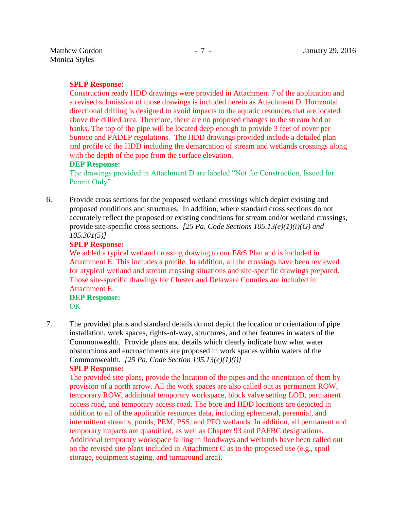## **SPLP Response:**

Construction ready HDD drawings were provided in Attachment 7 of the application and a revised submission of those drawings is included herein as Attachment D. Horizontal directional drilling is designed to avoid impacts to the aquatic resources that are located above the drilled area. Therefore, there are no proposed changes to the stream bed or banks. The top of the pipe will be located deep enough to provide 3 feet of cover per Sunoco and PADEP regulations. The HDD drawings provided include a detailed plan and profile of the HDD including the demarcation of stream and wetlands crossings along with the depth of the pipe from the surface elevation.

## **DEP Response:**

The drawings provided in Attachment D are labeled "Not for Construction, Issued for Permit Only"

6. Provide cross sections for the proposed wetland crossings which depict existing and proposed conditions and structures. In addition, where standard cross sections do not accurately reflect the proposed or existing conditions for stream and/or wetland crossings, provide site-specific cross sections. *[25 Pa. Code Sections 105.13(e)(1)(i)(G) and 105.301(5)]*

## **SPLP Response:**

We added a typical wetland crossing drawing to our E&S Plan and is included in Attachment E. This includes a profile. In addition, all the crossings have been reviewed for atypical wetland and stream crossing situations and site-specific drawings prepared. Those site-specific drawings for Chester and Delaware Counties are included in Attachment E.

## **DEP Response:** OK

7. The provided plans and standard details do not depict the location or orientation of pipe installation, work spaces, rights-of-way, structures, and other features in waters of the Commonwealth. Provide plans and details which clearly indicate how what water obstructions and encroachments are proposed in work spaces within waters of the Commonwealth. *[25 Pa. Code Section 105.13(e)(1)(i)]*

# **SPLP Response:**

The provided site plans, provide the location of the pipes and the orientation of them by provision of a north arrow. All the work spaces are also called out as permanent ROW, temporary ROW, additional temporary workspace, block valve setting LOD, permanent access road, and temporary access road. The bore and HDD locations are depicted in addition to all of the applicable resources data, including ephemeral, perennial, and intermittent streams, ponds, PEM, PSS, and PFO wetlands. In addition, all permanent and temporary impacts are quantified, as well as Chapter 93 and PAFBC designations. Additional temporary workspace falling in floodways and wetlands have been called out on the revised site plans included in Attachment C as to the proposed use (e.g., spoil storage, equipment staging, and turnaround area).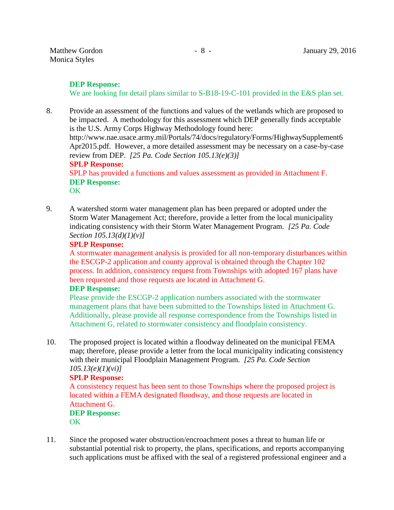## **DEP Response:**

We are looking for detail plans similar to S-B18-19-C-101 provided in the E&S plan set.

8. Provide an assessment of the functions and values of the wetlands which are proposed to be impacted. A methodology for this assessment which DEP generally finds acceptable is the U.S. Army Corps Highway Methodology found here: [http://www.nae.usace.army.mil/Portals/74/docs/regulatory/Forms/HighwaySupplement6](http://www.nae.usace.army.mil/Portals/74/docs/regulatory/Forms/HighwaySupplement6Apr2015.pdf) [Apr2015.pdf.](http://www.nae.usace.army.mil/Portals/74/docs/regulatory/Forms/HighwaySupplement6Apr2015.pdf) However, a more detailed assessment may be necessary on a case-by-case review from DEP. *[25 Pa. Code Section 105.13(e)(3)]* **SPLP Response:** SPLP has provided a functions and values assessment as provided in Attachment F. **DEP Response:**

OK

9. A watershed storm water management plan has been prepared or adopted under the Storm Water Management Act; therefore, provide a letter from the local municipality indicating consistency with their Storm Water Management Program. *[25 Pa. Code Section 105.13(d)(1)(v)]*

## **SPLP Response:**

A stormwater management analysis is provided for all non-temporary disturbances within the ESCGP-2 application and county approval is obtained through the Chapter 102 process. In addition, consistency request from Townships with adopted 167 plans have been requested and those requests are located in Attachment G.

## **DEP Response:**

Please provide the ESCGP-2 application numbers associated with the stormwater management plans that have been submitted to the Townships listed in Attachment G. Additionally, please provide all response correspondence from the Townships listed in Attachment G, related to stormwater consistency and floodplain consistency.

10. The proposed project is located within a floodway delineated on the municipal FEMA map; therefore, please provide a letter from the local municipality indicating consistency with their municipal Floodplain Management Program. *[25 Pa. Code Section 105.13(e)(1)(vi)]*

# **SPLP Response:**

A consistency request has been sent to those Townships where the proposed project is located within a FEMA designated floodway, and those requests are located in Attachment G. **DEP Response:**

**OK** 

11. Since the proposed water obstruction/encroachment poses a threat to human life or substantial potential risk to property, the plans, specifications, and reports accompanying such applications must be affixed with the seal of a registered professional engineer and a